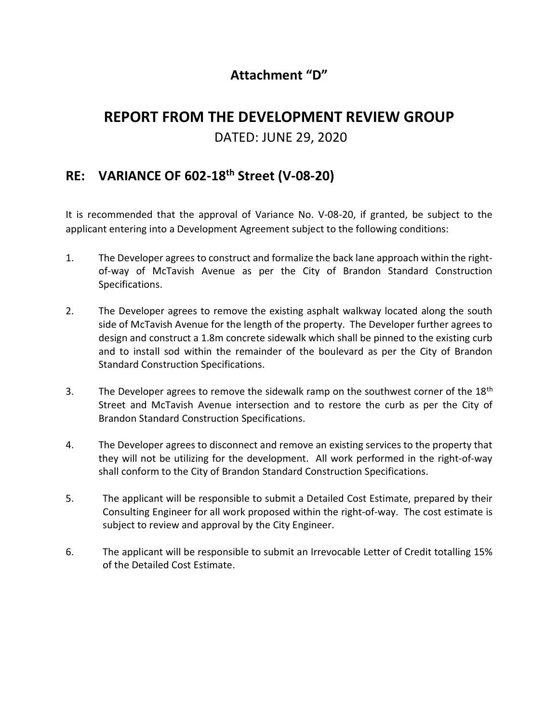## Attachment "D"

## REPORT FROM THE DEVELOPMENT REVIEW GROUP

## DATED: JUNE 29, 2020

## RE: VARIANCE OF 602-18th Street (V-08-20)

It is recommended that the approval of Variance No. V-08-20, if granted, be subject to the applicant entering into a Development Agreement subject to the following conditions:

- 1. The Developer agrees to construct and formalize the back lane approach within the rightof-way of McTavish Avenue as per the City of Brandon Standard Construction Specifications.
- 2. The Developer agrees to remove the existing asphalt walkway located along the south side of McTavish Avenue for the length of the property. The Developer further agrees to design and construct a 1.8m concrete sidewalk which shall be pinned to the existing curb and to install sod within the remainder of the boulevard as per the City of Brandon Standard Construction Specifications.
- 3. The Developer agrees to remove the sidewalk ramp on the southwest corner of the 18<sup>th</sup> Street and McTavish Avenue intersection and to restore the curb as per the City of Brandon Standard Construction Specifications.
- 4. The Developer agrees to disconnect and remove an existing services to the property that they will not be utilizing for the development. All work performed in the right-of-way shall conform to the City of Brandon Standard Construction Specifications.
- 5. The applicant will be responsible to submit a Detailed Cost Estimate, prepared by their Consulting Engineer for all work proposed within the right-of-way. The cost estimate is subject to review and approval by the City Engineer.
- 6. The applicant will be responsible to submit an Irrevocable Letter of Credit totalling 15% of the Detailed Cost Estimate.